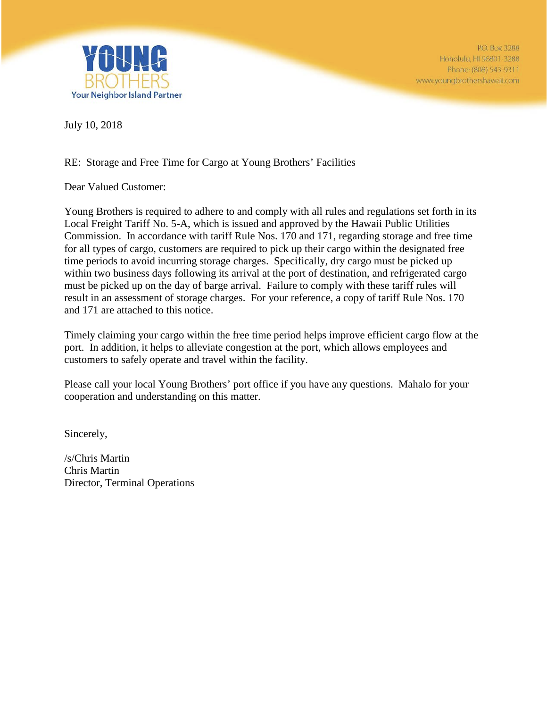

July 10, 2018

## RE: Storage and Free Time for Cargo at Young Brothers' Facilities

Dear Valued Customer:

Young Brothers is required to adhere to and comply with all rules and regulations set forth in its Local Freight Tariff No. 5-A, which is issued and approved by the Hawaii Public Utilities Commission. In accordance with tariff Rule Nos. 170 and 171, regarding storage and free time for all types of cargo, customers are required to pick up their cargo within the designated free time periods to avoid incurring storage charges. Specifically, dry cargo must be picked up within two business days following its arrival at the port of destination, and refrigerated cargo must be picked up on the day of barge arrival. Failure to comply with these tariff rules will result in an assessment of storage charges. For your reference, a copy of tariff Rule Nos. 170 and 171 are attached to this notice.

Timely claiming your cargo within the free time period helps improve efficient cargo flow at the port. In addition, it helps to alleviate congestion at the port, which allows employees and customers to safely operate and travel within the facility.

Please call your local Young Brothers' port office if you have any questions. Mahalo for your cooperation and understanding on this matter.

Sincerely,

/s/Chris Martin Chris Martin Director, Terminal Operations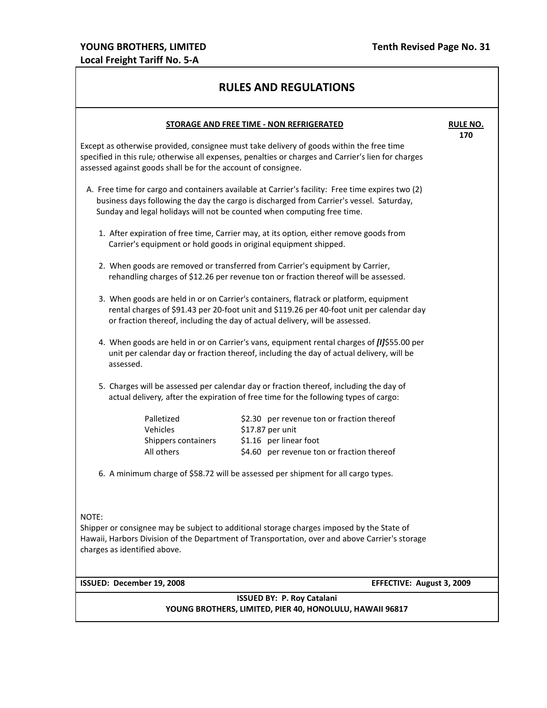## **RULES AND REGULATIONS**

| STORAGE AND FREE TIME - NON REFRIGERATED<br><b>RULE NO.</b>                                                                                                                                                                                                             |                                                                                                                    |     |  |
|-------------------------------------------------------------------------------------------------------------------------------------------------------------------------------------------------------------------------------------------------------------------------|--------------------------------------------------------------------------------------------------------------------|-----|--|
| Except as otherwise provided, consignee must take delivery of goods within the free time<br>specified in this rule; otherwise all expenses, penalties or charges and Carrier's lien for charges<br>assessed against goods shall be for the account of consignee.        |                                                                                                                    | 170 |  |
| A. Free time for cargo and containers available at Carrier's facility: Free time expires two (2)<br>business days following the day the cargo is discharged from Carrier's vessel. Saturday,<br>Sunday and legal holidays will not be counted when computing free time. |                                                                                                                    |     |  |
| 1. After expiration of free time, Carrier may, at its option, either remove goods from<br>Carrier's equipment or hold goods in original equipment shipped.                                                                                                              |                                                                                                                    |     |  |
| 2. When goods are removed or transferred from Carrier's equipment by Carrier,<br>rehandling charges of \$12.26 per revenue ton or fraction thereof will be assessed.                                                                                                    |                                                                                                                    |     |  |
| 3. When goods are held in or on Carrier's containers, flatrack or platform, equipment<br>rental charges of \$91.43 per 20-foot unit and \$119.26 per 40-foot unit per calendar day<br>or fraction thereof, including the day of actual delivery, will be assessed.      |                                                                                                                    |     |  |
| 4. When goods are held in or on Carrier's vans, equipment rental charges of [I]\$55.00 per<br>unit per calendar day or fraction thereof, including the day of actual delivery, will be<br>assessed.                                                                     |                                                                                                                    |     |  |
| 5. Charges will be assessed per calendar day or fraction thereof, including the day of<br>actual delivery, after the expiration of free time for the following types of cargo:                                                                                          |                                                                                                                    |     |  |
| Palletized<br>Vehicles<br>\$17.87 per unit<br>Shippers containers<br>All others                                                                                                                                                                                         | \$2.30 per revenue ton or fraction thereof<br>\$1.16 per linear foot<br>\$4.60 per revenue ton or fraction thereof |     |  |
| 6. A minimum charge of \$58.72 will be assessed per shipment for all cargo types.                                                                                                                                                                                       |                                                                                                                    |     |  |
| NOTE:<br>Shipper or consignee may be subject to additional storage charges imposed by the State of<br>Hawaii, Harbors Division of the Department of Transportation, over and above Carrier's storage<br>charges as identified above.                                    |                                                                                                                    |     |  |
| ISSUED: December 19, 2008                                                                                                                                                                                                                                               | EFFECTIVE: August 3, 2009                                                                                          |     |  |
| <b>ISSUED BY: P. Roy Catalani</b><br>YOUNG BROTHERS, LIMITED, PIER 40, HONOLULU, HAWAII 96817                                                                                                                                                                           |                                                                                                                    |     |  |